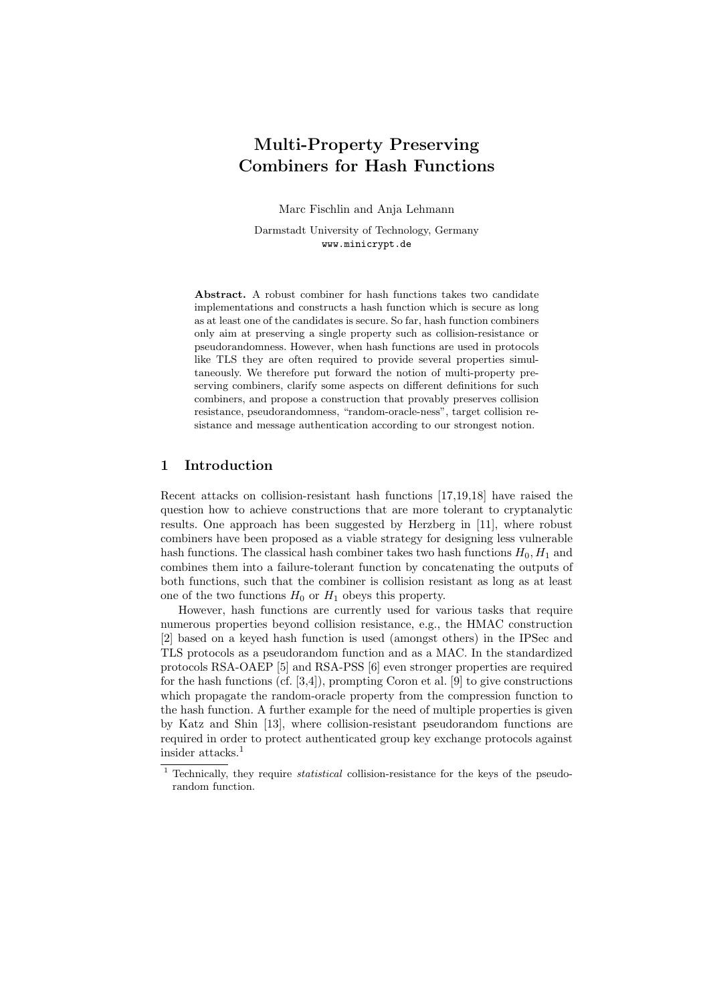# Multi-Property Preserving Combiners for Hash Functions

Marc Fischlin and Anja Lehmann

Darmstadt University of Technology, Germany www.minicrypt.de

Abstract. A robust combiner for hash functions takes two candidate implementations and constructs a hash function which is secure as long as at least one of the candidates is secure. So far, hash function combiners only aim at preserving a single property such as collision-resistance or pseudorandomness. However, when hash functions are used in protocols like TLS they are often required to provide several properties simultaneously. We therefore put forward the notion of multi-property preserving combiners, clarify some aspects on different definitions for such combiners, and propose a construction that provably preserves collision resistance, pseudorandomness, "random-oracle-ness", target collision resistance and message authentication according to our strongest notion.

## 1 Introduction

Recent attacks on collision-resistant hash functions [17,19,18] have raised the question how to achieve constructions that are more tolerant to cryptanalytic results. One approach has been suggested by Herzberg in [11], where robust combiners have been proposed as a viable strategy for designing less vulnerable hash functions. The classical hash combiner takes two hash functions  $H_0, H_1$  and combines them into a failure-tolerant function by concatenating the outputs of both functions, such that the combiner is collision resistant as long as at least one of the two functions  $H_0$  or  $H_1$  obeys this property.

However, hash functions are currently used for various tasks that require numerous properties beyond collision resistance, e.g., the HMAC construction [2] based on a keyed hash function is used (amongst others) in the IPSec and TLS protocols as a pseudorandom function and as a MAC. In the standardized protocols RSA-OAEP [5] and RSA-PSS [6] even stronger properties are required for the hash functions (cf. [3,4]), prompting Coron et al. [9] to give constructions which propagate the random-oracle property from the compression function to the hash function. A further example for the need of multiple properties is given by Katz and Shin [13], where collision-resistant pseudorandom functions are required in order to protect authenticated group key exchange protocols against insider attacks.<sup>1</sup>

<sup>1</sup> Technically, they require statistical collision-resistance for the keys of the pseudorandom function.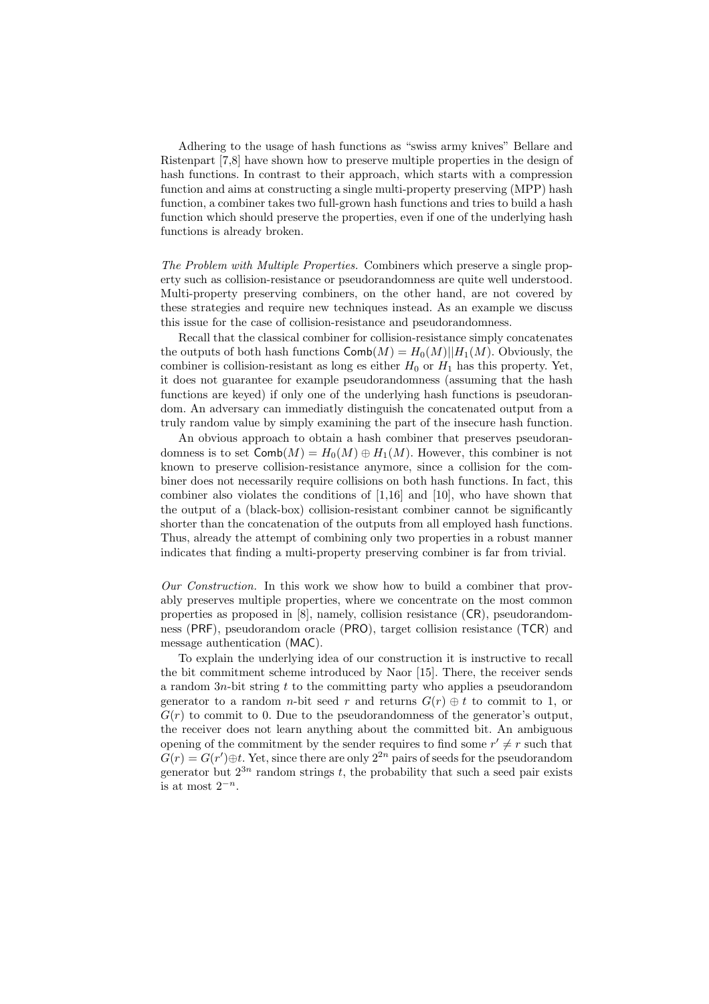Adhering to the usage of hash functions as "swiss army knives" Bellare and Ristenpart [7,8] have shown how to preserve multiple properties in the design of hash functions. In contrast to their approach, which starts with a compression function and aims at constructing a single multi-property preserving (MPP) hash function, a combiner takes two full-grown hash functions and tries to build a hash function which should preserve the properties, even if one of the underlying hash functions is already broken.

The Problem with Multiple Properties. Combiners which preserve a single property such as collision-resistance or pseudorandomness are quite well understood. Multi-property preserving combiners, on the other hand, are not covered by these strategies and require new techniques instead. As an example we discuss this issue for the case of collision-resistance and pseudorandomness.

Recall that the classical combiner for collision-resistance simply concatenates the outputs of both hash functions  $\text{Comb}(M) = H_0(M) || H_1(M)$ . Obviously, the combiner is collision-resistant as long es either  $H_0$  or  $H_1$  has this property. Yet, it does not guarantee for example pseudorandomness (assuming that the hash functions are keyed) if only one of the underlying hash functions is pseudorandom. An adversary can immediatly distinguish the concatenated output from a truly random value by simply examining the part of the insecure hash function.

An obvious approach to obtain a hash combiner that preserves pseudorandomness is to set  $\text{Comb}(M) = H_0(M) \oplus H_1(M)$ . However, this combiner is not known to preserve collision-resistance anymore, since a collision for the combiner does not necessarily require collisions on both hash functions. In fact, this combiner also violates the conditions of [1,16] and [10], who have shown that the output of a (black-box) collision-resistant combiner cannot be significantly shorter than the concatenation of the outputs from all employed hash functions. Thus, already the attempt of combining only two properties in a robust manner indicates that finding a multi-property preserving combiner is far from trivial.

Our Construction. In this work we show how to build a combiner that provably preserves multiple properties, where we concentrate on the most common properties as proposed in [8], namely, collision resistance (CR), pseudorandomness (PRF), pseudorandom oracle (PRO), target collision resistance (TCR) and message authentication (MAC).

To explain the underlying idea of our construction it is instructive to recall the bit commitment scheme introduced by Naor [15]. There, the receiver sends a random  $3n$ -bit string t to the committing party who applies a pseudorandom generator to a random *n*-bit seed r and returns  $G(r) \oplus t$  to commit to 1, or  $G(r)$  to commit to 0. Due to the pseudorandomness of the generator's output, the receiver does not learn anything about the committed bit. An ambiguous opening of the commitment by the sender requires to find some  $r' \neq r$  such that  $G(r) = G(r') \oplus t$ . Yet, since there are only  $2^{2n}$  pairs of seeds for the pseudorandom generator but  $2^{3n}$  random strings t, the probability that such a seed pair exists is at most  $2^{-n}$ .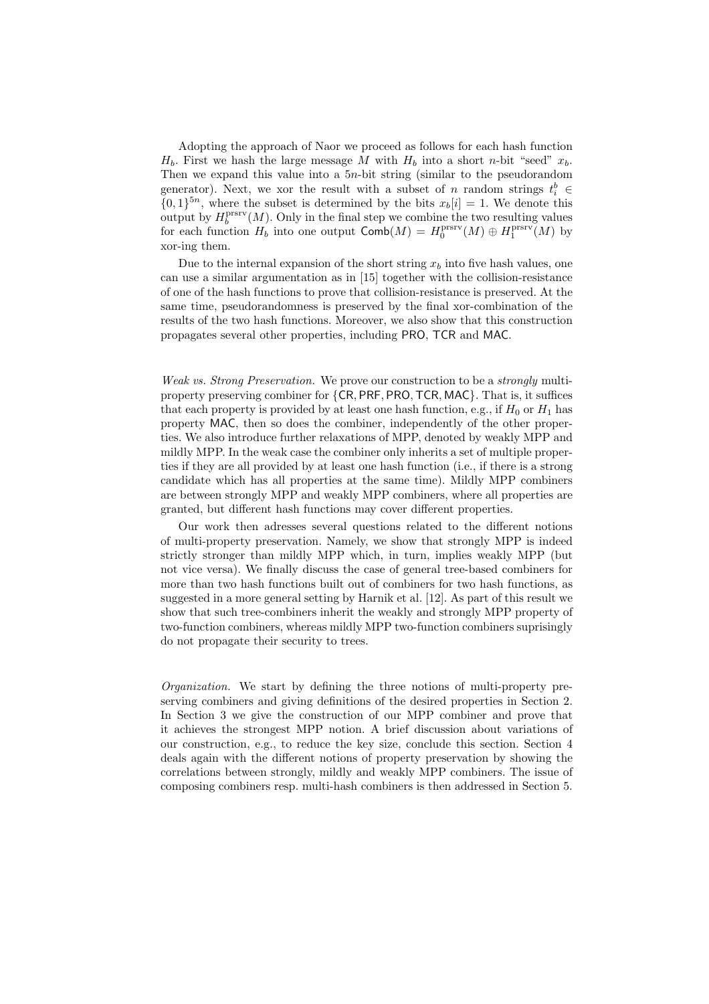Adopting the approach of Naor we proceed as follows for each hash function  $H_b$ . First we hash the large message M with  $H_b$  into a short n-bit "seed"  $x_b$ . Then we expand this value into a 5n-bit string (similar to the pseudorandom generator). Next, we xor the result with a subset of n random strings  $t_i^b \in$  $\{0,1\}^{5n}$ , where the subset is determined by the bits  $x_b[i] = 1$ . We denote this output by  $H_b^{\text{prsv}}(M)$ . Only in the final step we combine the two resulting values for each function  $H_b$  into one output  $\textsf{Comb}(M) = H_0^{\text{prsv}}(M) \oplus H_1^{\text{prsv}}(M)$  by xor-ing them.

Due to the internal expansion of the short string  $x<sub>b</sub>$  into five hash values, one can use a similar argumentation as in [15] together with the collision-resistance of one of the hash functions to prove that collision-resistance is preserved. At the same time, pseudorandomness is preserved by the final xor-combination of the results of the two hash functions. Moreover, we also show that this construction propagates several other properties, including PRO, TCR and MAC.

Weak vs. Strong Preservation. We prove our construction to be a strongly multiproperty preserving combiner for {CR, PRF, PRO, TCR, MAC}. That is, it suffices that each property is provided by at least one hash function, e.g., if  $H_0$  or  $H_1$  has property MAC, then so does the combiner, independently of the other properties. We also introduce further relaxations of MPP, denoted by weakly MPP and mildly MPP. In the weak case the combiner only inherits a set of multiple properties if they are all provided by at least one hash function (i.e., if there is a strong candidate which has all properties at the same time). Mildly MPP combiners are between strongly MPP and weakly MPP combiners, where all properties are granted, but different hash functions may cover different properties.

Our work then adresses several questions related to the different notions of multi-property preservation. Namely, we show that strongly MPP is indeed strictly stronger than mildly MPP which, in turn, implies weakly MPP (but not vice versa). We finally discuss the case of general tree-based combiners for more than two hash functions built out of combiners for two hash functions, as suggested in a more general setting by Harnik et al. [12]. As part of this result we show that such tree-combiners inherit the weakly and strongly MPP property of two-function combiners, whereas mildly MPP two-function combiners suprisingly do not propagate their security to trees.

Organization. We start by defining the three notions of multi-property preserving combiners and giving definitions of the desired properties in Section 2. In Section 3 we give the construction of our MPP combiner and prove that it achieves the strongest MPP notion. A brief discussion about variations of our construction, e.g., to reduce the key size, conclude this section. Section 4 deals again with the different notions of property preservation by showing the correlations between strongly, mildly and weakly MPP combiners. The issue of composing combiners resp. multi-hash combiners is then addressed in Section 5.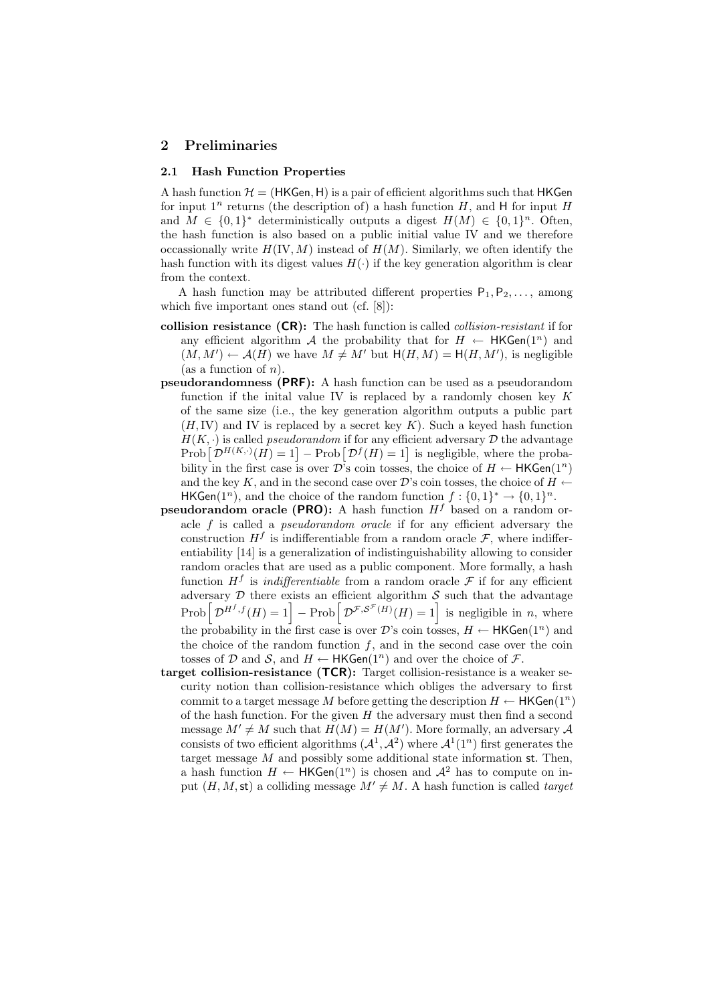### 2 Preliminaries

#### 2.1 Hash Function Properties

A hash function  $\mathcal{H} = (HKGen, H)$  is a pair of efficient algorithms such that HKGen for input  $1^n$  returns (the description of) a hash function H, and H for input H and  $M \in \{0,1\}^*$  deterministically outputs a digest  $H(M) \in \{0,1\}^n$ . Often, the hash function is also based on a public initial value IV and we therefore occassionally write  $H(IV, M)$  instead of  $H(M)$ . Similarly, we often identify the hash function with its digest values  $H(\cdot)$  if the key generation algorithm is clear from the context.

A hash function may be attributed different properties  $P_1, P_2, \ldots$ , among which five important ones stand out (cf. [8]):

- collision resistance  $(CR)$ : The hash function is called *collision-resistant* if for any efficient algorithm A the probability that for  $H \leftarrow \mathsf{HKGen}(1^n)$  and  $(M, M') \leftarrow \mathcal{A}(H)$  we have  $M \neq M'$  but  $H(H, M) = H(H, M')$ , is negligible (as a function of  $n$ ).
- pseudorandomness (PRF): A hash function can be used as a pseudorandom function if the inital value IV is replaced by a randomly chosen key  $K$ of the same size (i.e., the key generation algorithm outputs a public part  $(H,IV)$  and IV is replaced by a secret key K). Such a keyed hash function  $H(K, \cdot)$  is called *pseudorandom* if for any efficient adversary  $D$  the advantage  $\text{Prob}\left[\mathcal{D}^{H(K,\cdot)}(H)=1\right]-\text{Prob}\left[\mathcal{D}^{f}(H)=1\right]$  is negligible, where the probability in the first case is over  $\mathcal{D}$ 's coin tosses, the choice of  $H \leftarrow HKGen(1^n)$ and the key K, and in the second case over  $\mathcal{D}$ 's coin tosses, the choice of  $H \leftarrow$  $HKGen(1^n)$ , and the choice of the random function  $f: \{0,1\}^* \to \{0,1\}^n$ .
- **pseudorandom oracle (PRO):** A hash function  $H<sup>f</sup>$  based on a random oracle f is called a pseudorandom oracle if for any efficient adversary the construction  $H^f$  is indifferentiable from a random oracle  $\mathcal{F}$ , where indifferentiability [14] is a generalization of indistinguishability allowing to consider random oracles that are used as a public component. More formally, a hash function  $H^f$  is *indifferentiable* from a random oracle  $\mathcal F$  if for any efficient adversary  $D$  there exists an efficient algorithm  $S$  such that the advantage  $\text{Prob}\left[\mathcal{D}^{H^f,f}(H)=1\right]-\text{Prob}\left[\mathcal{D}^{\mathcal{F},\mathcal{S}^{\mathcal{F}}(H)}(H)=1\right]$  is negligible in *n*, where the probability in the first case is over D's coin tosses,  $H \leftarrow \mathsf{HKGen}(1^n)$  and the choice of the random function  $f$ , and in the second case over the coin tosses of D and S, and  $H \leftarrow \mathsf{HKGen}(1^n)$  and over the choice of F.
- target collision-resistance (TCR): Target collision-resistance is a weaker security notion than collision-resistance which obliges the adversary to first commit to a target message M before getting the description  $H \leftarrow \mathsf{HKGen}(1^n)$ of the hash function. For the given  $H$  the adversary must then find a second message  $M' \neq M$  such that  $H(M) = H(M')$ . More formally, an adversary A consists of two efficient algorithms  $(\mathcal{A}^1, \mathcal{A}^2)$  where  $\mathcal{A}^1(1^n)$  first generates the target message  $M$  and possibly some additional state information st. Then, a hash function  $H \leftarrow \mathsf{HKGen}(1^n)$  is chosen and  $\mathcal{A}^2$  has to compute on input  $(H, M, \mathsf{st})$  a colliding message  $M' \neq M$ . A hash function is called target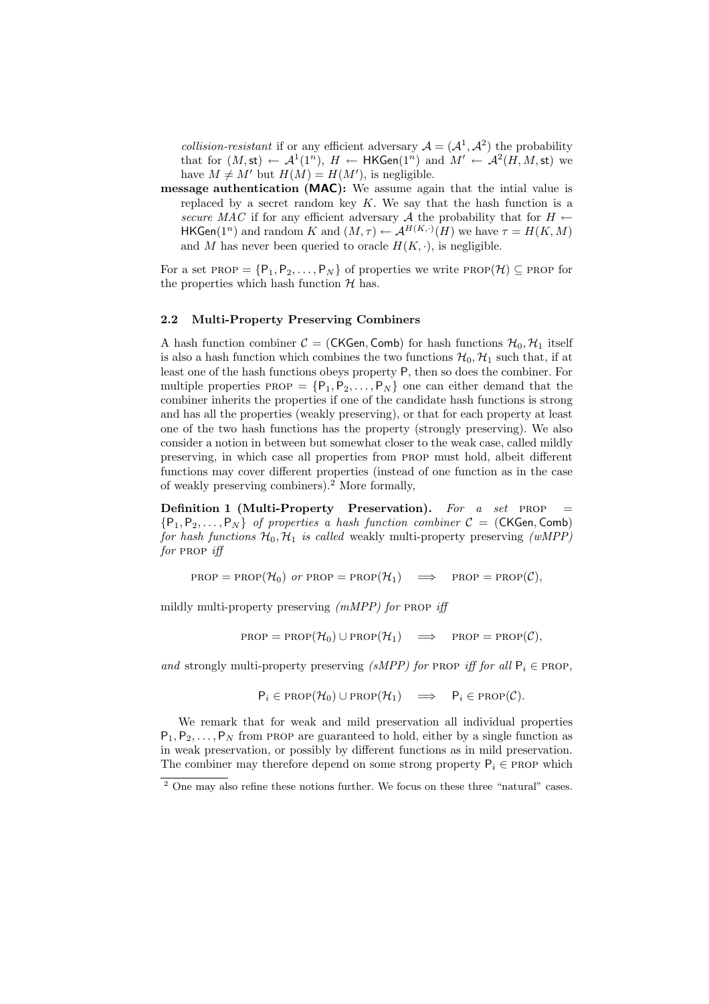collision-resistant if or any efficient adversary  $A = (A^1, A^2)$  the probability that for  $(M,\mathsf{st}) \leftarrow \mathcal{A}^1(1^n),\ H\leftarrow \mathsf{HKGen}(1^n)$  and  $M'\leftarrow \mathcal{A}^2(H,M,\mathsf{st})$  we have  $M \neq M'$  but  $H(M) = H(M')$ , is negligible.

message authentication (MAC): We assume again that the intial value is replaced by a secret random key  $K$ . We say that the hash function is a secure MAC if for any efficient adversary A the probability that for  $H \leftarrow$ HKGen(1<sup>n</sup>) and random K and  $(M, \tau) \leftarrow \mathcal{A}^{H(K, \cdot)}(H)$  we have  $\tau = H(K, M)$ and M has never been queried to oracle  $H(K, \cdot)$ , is negligible.

For a set PROP =  $\{P_1, P_2, \ldots, P_N\}$  of properties we write PROP $(\mathcal{H}) \subseteq$  PROP for the properties which hash function  $\mathcal{H}$  has.

#### 2.2 Multi-Property Preserving Combiners

A hash function combiner  $C = (CKGen, Comb)$  for hash functions  $\mathcal{H}_0, \mathcal{H}_1$  itself is also a hash function which combines the two functions  $\mathcal{H}_0$ ,  $\mathcal{H}_1$  such that, if at least one of the hash functions obeys property P, then so does the combiner. For multiple properties PROP =  $\{P_1, P_2, \ldots, P_N\}$  one can either demand that the combiner inherits the properties if one of the candidate hash functions is strong and has all the properties (weakly preserving), or that for each property at least one of the two hash functions has the property (strongly preserving). We also consider a notion in between but somewhat closer to the weak case, called mildly preserving, in which case all properties from prop must hold, albeit different functions may cover different properties (instead of one function as in the case of weakly preserving combiners).<sup>2</sup> More formally,

Definition 1 (Multi-Property Preservation). For a set PROP  $\{P_1, P_2, \ldots, P_N\}$  of properties a hash function combiner  $C = (CKGen, Comb)$ for hash functions  $\mathcal{H}_0$ ,  $\mathcal{H}_1$  is called weakly multi-property preserving (wMPP) for PROP  $iff$ 

 $PROP = PROP(\mathcal{H}_0)$  or  $PROP = PROP(\mathcal{H}_1) \implies PROP = PROP(\mathcal{C}),$ 

mildly multi-property preserving  $(mMPP)$  for PROP iff

$$
\text{PROP} = \text{PROP}(\mathcal{H}_0) \cup \text{PROP}(\mathcal{H}_1) \quad \Longrightarrow \quad \text{PROP} = \text{PROP}(\mathcal{C}),
$$

and strongly multi-property preserving (sMPP) for PROP iff for all  $P_i \in PROP$ .

$$
\mathsf{P}_i \in \text{PROP}(\mathcal{H}_0) \cup \text{PROP}(\mathcal{H}_1) \quad \Longrightarrow \quad \mathsf{P}_i \in \text{PROP}(\mathcal{C}).
$$

We remark that for weak and mild preservation all individual properties  $P_1, P_2, \ldots, P_N$  from PROP are guaranteed to hold, either by a single function as in weak preservation, or possibly by different functions as in mild preservation. The combiner may therefore depend on some strong property  $P_i \in \text{PROP}$  which

 $2$  One may also refine these notions further. We focus on these three "natural" cases.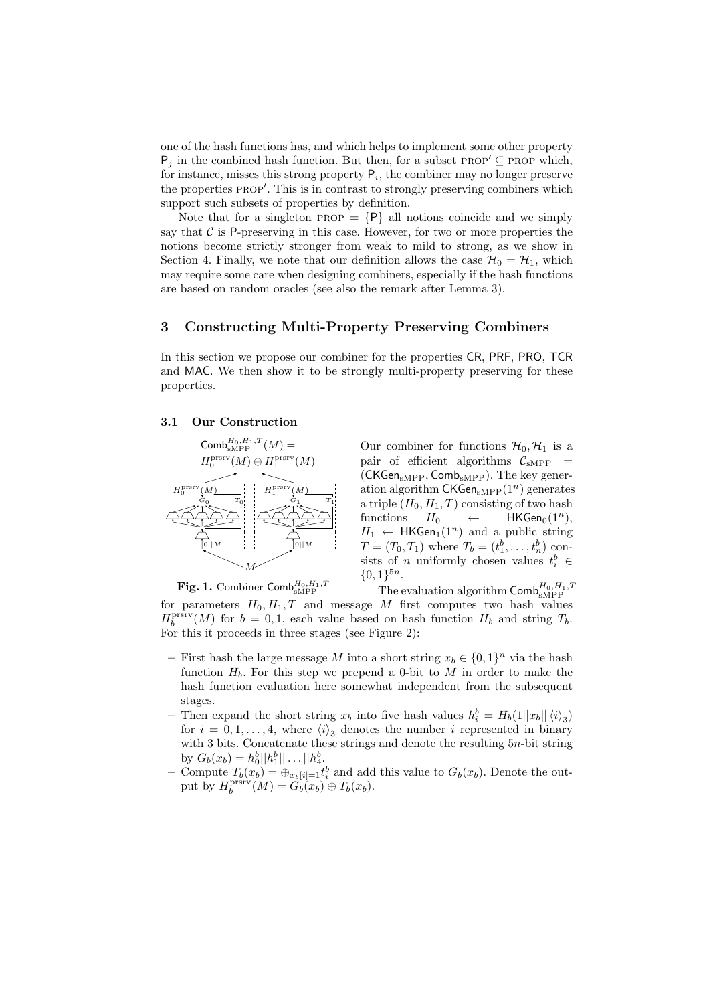one of the hash functions has, and which helps to implement some other property  $P_j$  in the combined hash function. But then, for a subset PROP'  $\subseteq$  PROP which, for instance, misses this strong property  $P_i$ , the combiner may no longer preserve the properties prop′ . This is in contrast to strongly preserving combiners which support such subsets of properties by definition.

Note that for a singleton  $PROP = {P}$  all notions coincide and we simply say that  $C$  is P-preserving in this case. However, for two or more properties the notions become strictly stronger from weak to mild to strong, as we show in Section 4. Finally, we note that our definition allows the case  $\mathcal{H}_0 = \mathcal{H}_1$ , which may require some care when designing combiners, especially if the hash functions are based on random oracles (see also the remark after Lemma 3).

## 3 Constructing Multi-Property Preserving Combiners

In this section we propose our combiner for the properties CR, PRF, PRO, TCR and MAC. We then show it to be strongly multi-property preserving for these properties.

#### 3.1 Our Construction



Our combiner for functions  $\mathcal{H}_0$ ,  $\mathcal{H}_1$  is a pair of efficient algorithms  $C_{\text{sMPP}}$  = (CKGen<sub>sMPP</sub>, Comb<sub>sMPP</sub>). The key generation algorithm  $CKGen_{sMPP}(1^n)$  generates a triple  $(H_0, H_1, T)$  consisting of two hash functions  $H_0 \leftarrow \textsf{HKGen}_0(1^n),$  $H_1 \leftarrow \mathsf{HKGen}_1(1^n)$  and a public string  $T = (T_0, T_1)$  where  $T_b = (t_1^b, \dots, t_n^b)$  consists of *n* uniformly chosen values  $t_i^b \in$  $\{0,1\}^{5n}$ .

Fig. 1. Combiner  $\mathsf{Comb}_{\mathrm{sMPP}}^{H_0,H_1,T}$ 

The evaluation algorithm  $\mathsf{Comb}_{\mathrm{sMPP}}^{H_0,H_1,T}$ for parameters  $H_0, H_1, T$  and message M first computes two hash values  $H_b^{\text{prsrv}}(M)$  for  $b = 0, 1$ , each value based on hash function  $H_b$  and string  $T_b$ . For this it proceeds in three stages (see Figure 2):

- First hash the large message M into a short string  $x_b \in \{0,1\}^n$  via the hash function  $H<sub>b</sub>$ . For this step we prepend a 0-bit to M in order to make the hash function evaluation here somewhat independent from the subsequent stages.
- Then expand the short string  $x_b$  into five hash values  $h_i^b = H_b(1||x_b|| \langle i \rangle_3)$ for  $i = 0, 1, ..., 4$ , where  $\langle i \rangle_3$  denotes the number i represented in binary with 3 bits. Concatenate these strings and denote the resulting  $5n$ -bit string by  $G_b(x_b) = h_0^b ||h_1^b|| \dots ||h_4^b$ .
- Compute  $T_b(x_b) = \bigoplus_{x_b[i]=1} t_i^b$  and add this value to  $G_b(x_b)$ . Denote the output by  $H_b^{\text{prsv}}(M) = G_b(x_b) \oplus T_b(x_b)$ .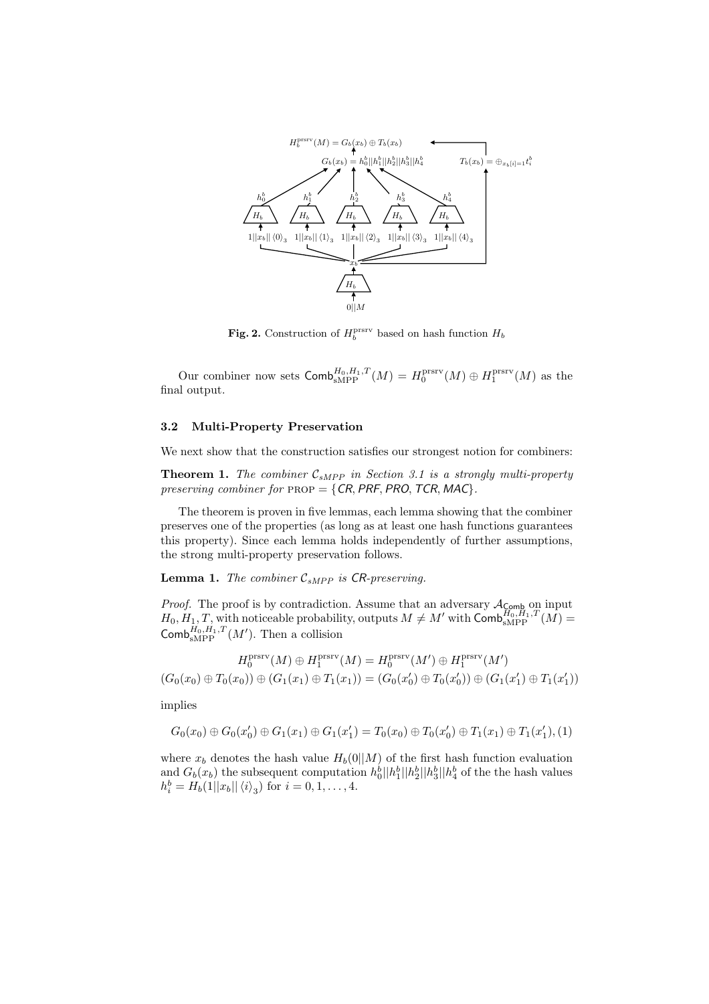

**Fig. 2.** Construction of  $H_b^{\text{prsv}}$  based on hash function  $H_b$ 

Our combiner now sets  $\textsf{Comb}_{\text{sMPP}}^{H_0,H_1,T}(M) = H_0^{\text{prsv}}(M) \oplus H_1^{\text{prsv}}(M)$  as the final output.

#### 3.2 Multi-Property Preservation

We next show that the construction satisfies our strongest notion for combiners:

**Theorem 1.** The combiner  $C_{sMPP}$  in Section 3.1 is a strongly multi-property preserving combiner for  $PROP = \{CR, PRF, PRO, TCR, MAC\}.$ 

The theorem is proven in five lemmas, each lemma showing that the combiner preserves one of the properties (as long as at least one hash functions guarantees this property). Since each lemma holds independently of further assumptions, the strong multi-property preservation follows.

**Lemma 1.** The combiner  $C_{sMPP}$  is CR-preserving.

*Proof.* The proof is by contradiction. Assume that an adversary  $A_{\mathsf{Comb}}$  on input  $H_0, H_1, T$ , with noticeable probability, outputs  $M \neq M'$  with  $\textsf{Comb}_{\text{sMPP}}^{H_0, H_1, T}(M)$ Comb ${}_{\text{sMPP}}^{H_0,H_1,T}(M')$ . Then a collision

$$
H_0^{\text{prstv}}(M) \oplus H_1^{\text{prstv}}(M) = H_0^{\text{prstv}}(M') \oplus H_1^{\text{prstv}}(M')
$$
  

$$
(G_0(x_0) \oplus T_0(x_0)) \oplus (G_1(x_1) \oplus T_1(x_1)) = (G_0(x'_0) \oplus T_0(x'_0)) \oplus (G_1(x'_1) \oplus T_1(x'_1))
$$

implies

$$
G_0(x_0) \oplus G_0(x'_0) \oplus G_1(x_1) \oplus G_1(x'_1) = T_0(x_0) \oplus T_0(x'_0) \oplus T_1(x_1) \oplus T_1(x'_1),
$$
 (1)

where  $x_b$  denotes the hash value  $H_b(0||M)$  of the first hash function evaluation and  $G_b(x_b)$  the subsequent computation  $h_0^b ||h_1^b ||h_2^b ||h_3^b ||h_4^b$  of the the hash values  $h_i^b = H_b(1||x_b|| \langle i \rangle_3)$  for  $i = 0, 1, ..., 4$ .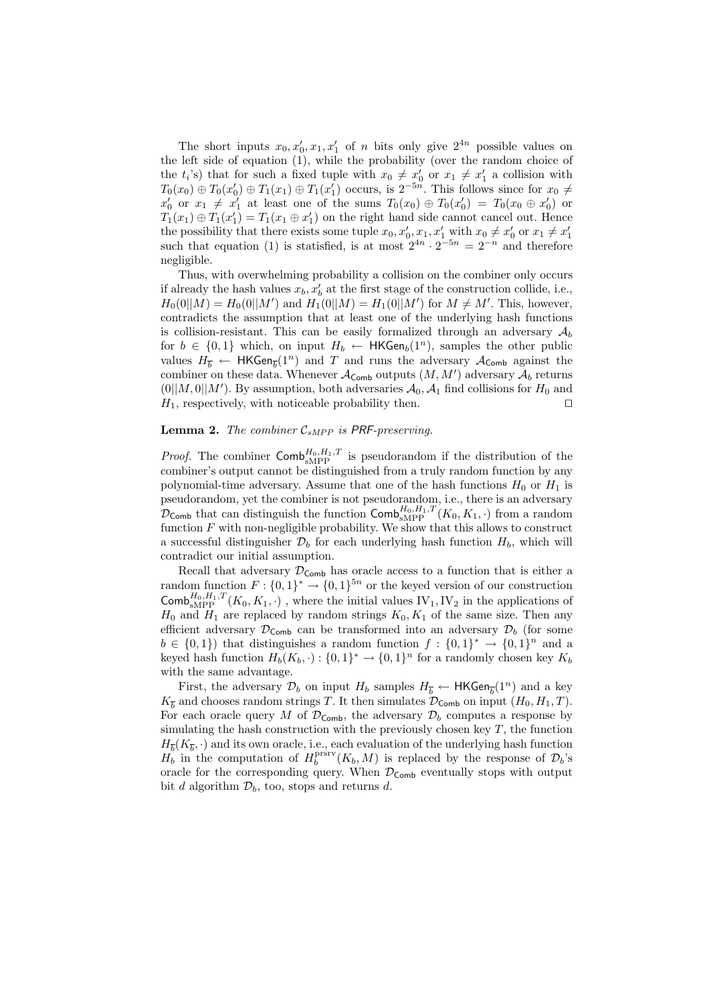The short inputs  $x_0, x'_0, x_1, x'_1$  of n bits only give  $2^{4n}$  possible values on the left side of equation (1), while the probability (over the random choice of the  $t_i$ 's) that for such a fixed tuple with  $x_0 \neq x'_0$  or  $x_1 \neq x'_1$  a collision with  $T_0(x_0) \oplus T_0(x_0') \oplus T_1(x_1) \oplus T_1(x_1')$  occurs, is  $2^{-5n}$ . This follows since for  $x_0 \neq$  $x'_0$  or  $x_1 \neq x'_1$  at least one of the sums  $T_0(x_0) \oplus T_0(x'_0) = T_0(x_0 \oplus x'_0)$  or  $T_1(x_1) \oplus T_1(x_1') = T_1(x_1 \oplus x_1')$  on the right hand side cannot cancel out. Hence the possibility that there exists some tuple  $x_0, x'_0, x_1, x'_1$  with  $x_0 \neq x'_0$  or  $x_1 \neq x'_1$ such that equation (1) is statisfied, is at most  $2^{4n} \cdot 2^{-5n} = 2^{-n}$  and therefore negligible.

Thus, with overwhelming probability a collision on the combiner only occurs if already the hash values  $x_b, x'_b$  at the first stage of the construction collide, i.e.,  $H_0(0||M) = H_0(0||M')$  and  $H_1(0||M) = H_1(0||M')$  for  $M \neq M'$ . This, however, contradicts the assumption that at least one of the underlying hash functions is collision-resistant. This can be easily formalized through an adversary  $A_b$ for  $b \in \{0,1\}$  which, on input  $H_b \leftarrow \textsf{HKGen}_b(1^n)$ , samples the other public values  $H_{\overline{b}} \leftarrow \textsf{HKGen}_{\overline{b}}(1^n)$  and T and runs the adversary  $\mathcal{A}_{\textsf{Comb}}$  against the combiner on these data. Whenever  $\mathcal{A}_{\mathsf{Comb}}$  outputs  $(M, M')$  adversary  $\mathcal{A}_b$  returns  $(0||M, 0||M')$ . By assumption, both adversaries  $\mathcal{A}_0$ ,  $\mathcal{A}_1$  find collisions for  $H_0$  and  $H_1$ , respectively, with noticeable probability then. □

### **Lemma 2.** The combiner  $C_{sMPP}$  is PRF-preserving.

*Proof.* The combiner  $\textsf{Comb}_{\text{sMPP}}^{H_0,H_1,T}$  is pseudorandom if the distribution of the combiner's output cannot be distinguished from a truly random function by any polynomial-time adversary. Assume that one of the hash functions  $H_0$  or  $H_1$  is pseudorandom, yet the combiner is not pseudorandom, i.e., there is an adversary  $\mathcal{D}_{\mathsf{Comb}}$  that can distinguish the function  $\mathsf{Comb}_{\mathrm{sMPP}}^{H_0,H_1,T}(K_0,K_1,\cdot)$  from a random function  $F$  with non-negligible probability. We show that this allows to construct a successful distinguisher  $\mathcal{D}_b$  for each underlying hash function  $H_b$ , which will contradict our initial assumption.

Recall that adversary  $\mathcal{D}_{\mathsf{Comb}}$  has oracle access to a function that is either a random function  $F: \{0,1\}^* \to \{0,1\}^{5n}$  or the keyed version of our construction Comb ${}_{\rm sMPP}^{H_0,H_1,T}(K_0,K_1,\cdot)$ , where the initial values  $\rm IV_1,IV_2$  in the applications of  $H_0$  and  $H_1$  are replaced by random strings  $K_0, K_1$  of the same size. Then any efficient adversary  $\mathcal{D}_{\mathsf{Comb}}$  can be transformed into an adversary  $\mathcal{D}_b$  (for some  $b \in \{0,1\}$  that distinguishes a random function  $f: \{0,1\}^* \to \{0,1\}^n$  and a keyed hash function  $H_b(K_b, \cdot): \{0,1\}^* \to \{0,1\}^n$  for a randomly chosen key  $K_b$ with the same advantage.

First, the adversary  $\mathcal{D}_b$  on input  $H_b$  samples  $H_{\overline{b}} \leftarrow \mathsf{HKGen}_{\overline{b}}(1^n)$  and a key  $K_{\overline{b}}$  and chooses random strings T. It then simulates  $\mathcal{D}_{\mathsf{Comb}}$  on input  $(H_0, H_1, T)$ . For each oracle query M of  $\mathcal{D}_{\mathsf{Comb}}$ , the adversary  $\mathcal{D}_b$  computes a response by simulating the hash construction with the previously chosen key  $T$ , the function  $H_{\overline{b}}(K_{\overline{b}},\cdot)$  and its own oracle, i.e., each evaluation of the underlying hash function  $H_b$  in the computation of  $H_b^{\text{prsv}}(K_b, M)$  is replaced by the response of  $\mathcal{D}_b$ 's oracle for the corresponding query. When  $\mathcal{D}_{\mathsf{Comb}}$  eventually stops with output bit d algorithm  $\mathcal{D}_b$ , too, stops and returns d.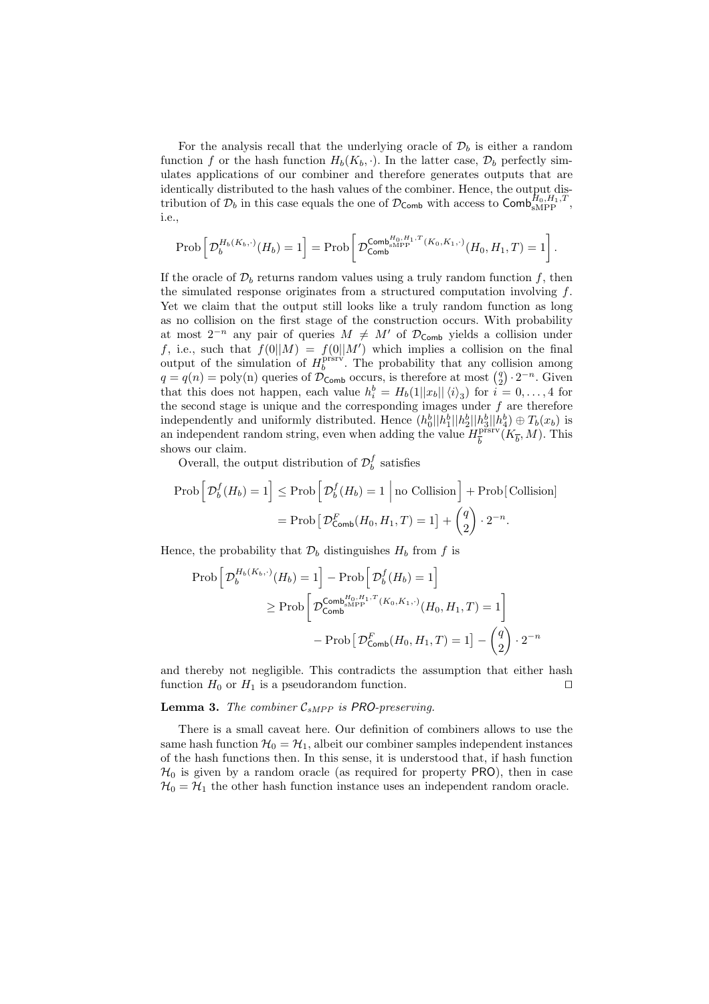For the analysis recall that the underlying oracle of  $\mathcal{D}_b$  is either a random function f or the hash function  $H_b(K_b, \cdot)$ . In the latter case,  $\mathcal{D}_b$  perfectly simulates applications of our combiner and therefore generates outputs that are identically distributed to the hash values of the combiner. Hence, the output distribution of  $\mathcal{D}_b$  in this case equals the one of  $\mathcal{D}_{\mathsf{Comb}}$  with access to  $\mathsf{Comb}_{\mathrm{sMPP}}^{H_0,H_1,T}$ , i.e.,

$$
\operatorname{Prob}\left[\,\mathcal{D}_{b}^{H_b(K_b,\cdot)}(H_b)=1\right]=\operatorname{Prob}\left[\,\mathcal{D}_{\mathsf{Comb}}^{\mathsf{Comb}^{H_0,H_1,T}(K_0,K_1,\cdot)}(H_0,H_1,T)=1\right].
$$

If the oracle of  $\mathcal{D}_b$  returns random values using a truly random function f, then the simulated response originates from a structured computation involving  $f$ . Yet we claim that the output still looks like a truly random function as long as no collision on the first stage of the construction occurs. With probability at most  $2^{-n}$  any pair of queries  $M \neq M'$  of  $\mathcal{D}_{\mathsf{Comb}}$  yields a collision under f, i.e., such that  $f(0||M) = f(0||M')$  which implies a collision on the final output of the simulation of  $H_b^{\text{prsrv}}$ . The probability that any collision among  $q = q(n) = \text{poly}(n)$  queries of  $\mathcal{D}_{\text{Comb}}$  occurs, is therefore at most  $\binom{q}{2}$  $_{2}^{q}$  $\cdot$  2<sup>-n</sup>. Given that this does not happen, each value  $h_i^b = H_b(1||x_b|| \langle i \rangle_3)$  for  $i = 0, ..., 4$  for the second stage is unique and the corresponding images under  $f$  are therefore independently and uniformly distributed. Hence  $(h_0^b||h_1^b||h_2^b||h_3^b||h_4^b) \oplus T_b(x_b)$  is an independent random string, even when adding the value  $H_{\overline{k}}^{\text{prsiv}}$  $\frac{\text{prsrv}}{b}(K_{\overline{b}},M)$ . This shows our claim.

Overall, the output distribution of  $\mathcal{D}_b^f$  satisfies

$$
\text{Prob}\left[\mathcal{D}_b^f(H_b) = 1\right] \le \text{Prob}\left[\mathcal{D}_b^f(H_b) = 1 \mid \text{no Collision}\right] + \text{Prob}\left[\text{Collision}\right]
$$

$$
= \text{Prob}\left[\mathcal{D}_{\text{Comb}}^F(H_0, H_1, T) = 1\right] + \binom{q}{2} \cdot 2^{-n}.
$$

Hence, the probability that  $\mathcal{D}_b$  distinguishes  $H_b$  from f is

$$
\begin{aligned} \text{Prob}\left[\mathcal{D}_{b}^{H_{b}(K_{b},\cdot)}(H_{b})=1\right]-\text{Prob}\left[\mathcal{D}_{b}^{f}(H_{b})=1\right] \\ \geq & \text{Prob}\left[\mathcal{D}_{\text{Comb}}^{\text{Comb}_{\text{sMPP}}^{H_{0},H_{1},T}(K_{0},K_{1},\cdot)}(H_{0},H_{1},T)=1\right] \\ & -\text{Prob}\left[\mathcal{D}_{\text{Comb}}^{F}(H_{0},H_{1},T)=1\right]-\binom{q}{2}\cdot2^{-n} \end{aligned}
$$

and thereby not negligible. This contradicts the assumption that either hash function  $H_0$  or  $H_1$  is a pseudorandom function. □

## **Lemma 3.** The combiner  $C_{sMPP}$  is PRO-preserving.

There is a small caveat here. Our definition of combiners allows to use the same hash function  $\mathcal{H}_0 = \mathcal{H}_1$ , albeit our combiner samples independent instances of the hash functions then. In this sense, it is understood that, if hash function  $\mathcal{H}_0$  is given by a random oracle (as required for property PRO), then in case  $\mathcal{H}_0 = \mathcal{H}_1$  the other hash function instance uses an independent random oracle.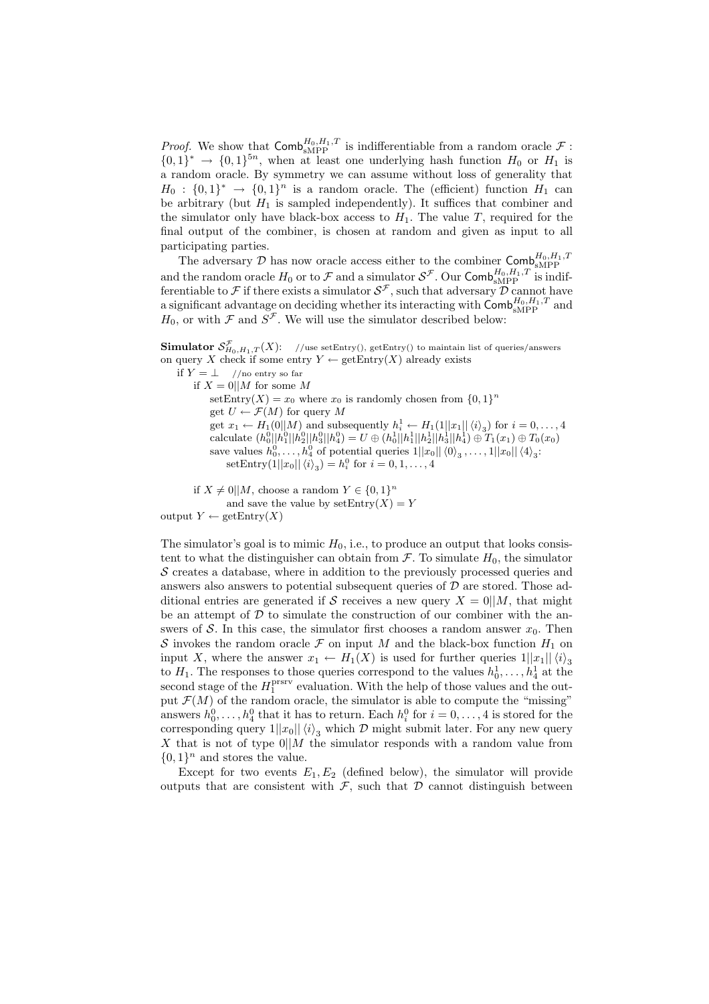*Proof.* We show that  $\textsf{Comb}_{\text{sMPP}}^{H_0,H_1,T}$  is indifferentiable from a random oracle  $\mathcal{F}$ :  ${0,1}^* \rightarrow {0,1}^{5n}$ , when at least one underlying hash function  $H_0$  or  $H_1$  is a random oracle. By symmetry we can assume without loss of generality that  $H_0: \{0,1\}^* \to \{0,1\}^n$  is a random oracle. The (efficient) function  $H_1$  can be arbitrary (but  $H_1$  is sampled independently). It suffices that combiner and the simulator only have black-box access to  $H_1$ . The value T, required for the final output of the combiner, is chosen at random and given as input to all participating parties.

The adversary D has now oracle access either to the combiner  $\textsf{Comb}_{\text{sMPP}}^{H_0,H_1,T}$ and the random oracle  $H_0$  or to  $\mathcal F$  and a simulator  $\mathcal S^{\mathcal F}$ . Our  $\mathsf{Comb}_{\mathrm{sMPP}}^{H_0,H_1,T}$  is indifferentiable to F if there exists a simulator  $S^{\mathcal{F}}$ , such that adversary  $\overline{\mathcal{D}}$  cannot have a significant advantage on deciding whether its interacting with  $\textsf{Comb}_{\text{sMPP}}^{H_0,H_1,T}$  and  $H_0$ , or with  $\mathcal F$  and  $S^{\mathcal F}$ . We will use the simulator described below:

Simulator  $\mathcal{S}^{\mathcal{F}}_{H_0,H_1,T}(X)$ : //use setEntry(), getEntry() to maintain list of queries/answers on query X check if some entry  $Y \leftarrow$  getEntry(X) already exists

if  $Y = \perp$  //no entry so far if  $X = 0||M$  for some M setEntry(X) =  $x_0$  where  $x_0$  is randomly chosen from  $\{0, 1\}^n$ get  $U \leftarrow \mathcal{F}(M)$  for query M get  $x_1 \leftarrow H_1(0||M)$  and subsequently  $h_i^1 \leftarrow H_1(1||x_1|| \langle i \rangle_3)$  for  $i = 0, \ldots, 4$  $\text{calculate } (h_0^0||h_1^0||h_2^0||h_3^0||h_4^0) = U \oplus (h_0^1||h_1^1||h_2^1||h_3^1||h_4^1) \oplus T_1(x_1) \oplus T_0(x_0)$ save values  $h_0^0, \ldots, h_4^0$  of potential queries  $1||x_0|| \langle 0 \rangle_3, \ldots, 1||x_0|| \langle 4 \rangle_3$ : setEntry(1|| $x_0$ || $\langle i \rangle_3$ ) =  $h_i^0$  for  $i = 0, 1, ..., 4$ 

if  $X \neq 0 \mid M$ , choose a random  $Y \in \{0,1\}^n$ and save the value by  $setEntry(X) = Y$ output  $Y \leftarrow \text{getEntry}(X)$ 

The simulator's goal is to mimic  $H_0$ , i.e., to produce an output that looks consistent to what the distinguisher can obtain from  $\mathcal{F}$ . To simulate  $H_0$ , the simulator  $\mathcal S$  creates a database, where in addition to the previously processed queries and answers also answers to potential subsequent queries of  $D$  are stored. Those additional entries are generated if S receives a new query  $X = 0||M$ , that might be an attempt of  $D$  to simulate the construction of our combiner with the answers of S. In this case, the simulator first chooses a random answer  $x_0$ . Then S invokes the random oracle  $\mathcal F$  on input M and the black-box function  $H_1$  on input X, where the answer  $x_1 \leftarrow H_1(X)$  is used for further queries  $1||x_1|| \langle i \rangle_3$ to  $H_1$ . The responses to those queries correspond to the values  $h_0^1, \ldots, h_4^1$  at the second stage of the  $H_1^{\text{prsrv}}$  evaluation. With the help of those values and the output  $\mathcal{F}(M)$  of the random oracle, the simulator is able to compute the "missing" answers  $h_0^0, \ldots, h_4^0$  that it has to return. Each  $h_i^0$  for  $i = 0, \ldots, 4$  is stored for the corresponding query  $1||x_0|| \langle i \rangle_3$  which  $D$  might submit later. For any new query X that is not of type  $0||M$  the simulator responds with a random value from  $\{0,1\}^n$  and stores the value.

Except for two events  $E_1, E_2$  (defined below), the simulator will provide outputs that are consistent with  $\mathcal{F}$ , such that  $\mathcal{D}$  cannot distinguish between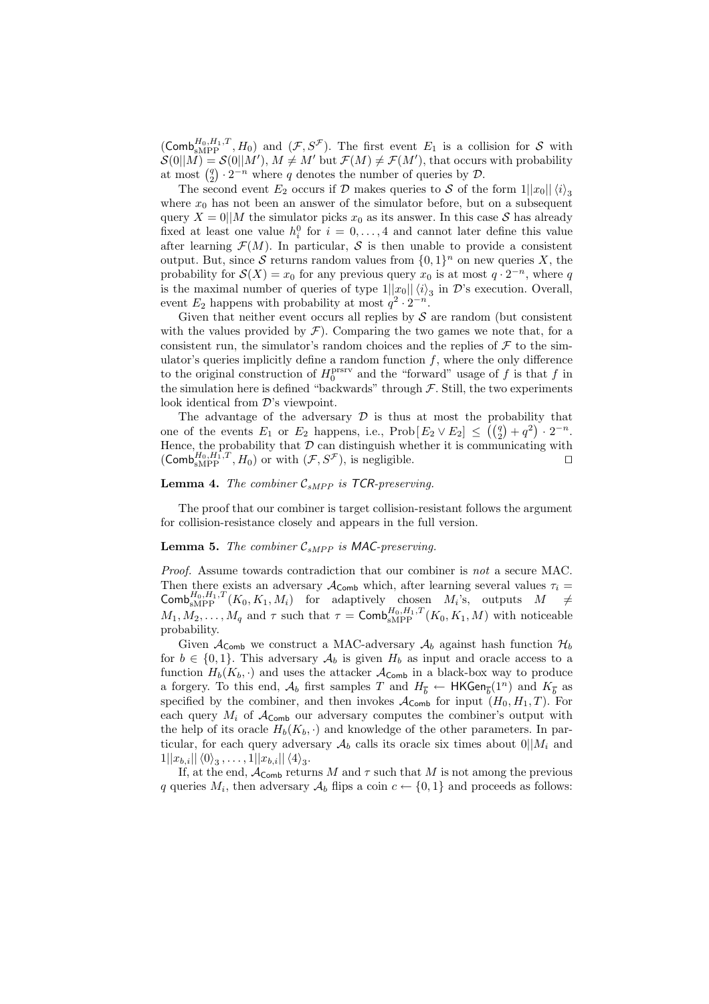$(\textsf{Comb}_{\text{sMPP}}^{H_0,H_1,T}, H_0)$  and  $(\mathcal{F}, S^{\mathcal{F}})$ . The first event  $E_1$  is a collision for S with  $\mathcal{S}(0||M) = \mathcal{S}(0||M'), M \neq M'$  but  $\mathcal{F}(M) \neq \mathcal{F}(M')$ , that occurs with probability at most  $\binom{q}{2}$  $\binom{q}{2} \cdot 2^{-n}$  where q denotes the number of queries by  $\mathcal{D}$ .

The second event  $E_2$  occurs if  $\mathcal D$  makes queries to  $\mathcal S$  of the form  $1||x_0|| \langle i \rangle_3$ where  $x_0$  has not been an answer of the simulator before, but on a subsequent query  $X = 0||M$  the simulator picks  $x_0$  as its answer. In this case S has already fixed at least one value  $h_i^0$  for  $i = 0, \ldots, 4$  and cannot later define this value after learning  $\mathcal{F}(M)$ . In particular, S is then unable to provide a consistent output. But, since S returns random values from  $\{0,1\}^n$  on new queries X, the probability for  $S(X) = x_0$  for any previous query  $x_0$  is at most  $q \cdot 2^{-n}$ , where q is the maximal number of queries of type  $1||x_0|| \langle i \rangle_3$  in D's execution. Overall, event  $E_2$  happens with probability at most  $q^2 \cdot 2^{-n}$ .

Given that neither event occurs all replies by  $S$  are random (but consistent with the values provided by  $\mathcal{F}$ ). Comparing the two games we note that, for a consistent run, the simulator's random choices and the replies of  $\mathcal F$  to the simulator's queries implicitly define a random function  $f$ , where the only difference to the original construction of  $H_0^{\text{prsv}}$  and the "forward" usage of f is that f in the simulation here is defined "backwards" through  $\mathcal F$ . Still, the two experiments look identical from D's viewpoint.

The advantage of the adversary  $\mathcal D$  is thus at most the probability that one of the events  $E_1$  or  $E_2$  happens, i.e.,  $\text{Prob}[E_2 \vee E_2] \leq \left(\binom{q}{2} + q^2\right) \cdot 2^{-n}$ . Hence, the probability that  $D$  can distinguish whether it is communicating with  $(\textsf{Comb}_{\text{sMPP}}^{H_0, H_1, T}, H_0)$  or with  $(\mathcal{F}, S^{\mathcal{F}})$ , is negligible.  $\square$ 

#### **Lemma 4.** The combiner  $C_{sMPP}$  is TCR-preserving.

The proof that our combiner is target collision-resistant follows the argument for collision-resistance closely and appears in the full version.

#### **Lemma 5.** The combiner  $C_{sMPP}$  is MAC-preserving.

Proof. Assume towards contradiction that our combiner is not a secure MAC. Then there exists an adversary  $A_{\text{Comb}}$  which, after learning several values  $\tau_i =$  $\textsf{Comb}_{\text{sMPP}}^{H_0,H_1,T}(K_0,K_1,M_i)$  for adaptively chosen  $M_i$ 's, outputs  $M \neq$  $M_1, M_2, \ldots, M_q$  and  $\tau$  such that  $\tau = \textsf{Comb}_{\text{sMPP}}^{H_0, H_1, T}(K_0, K_1, M)$  with noticeable probability.

Given  $A_{\text{Comb}}$  we construct a MAC-adversary  $A_b$  against hash function  $\mathcal{H}_b$ for  $b \in \{0,1\}$ . This adversary  $\mathcal{A}_b$  is given  $H_b$  as input and oracle access to a function  $H_b(K_b, \cdot)$  and uses the attacker  $\mathcal{A}_{\mathsf{Comb}}$  in a black-box way to produce a forgery. To this end,  $\mathcal{A}_b$  first samples T and  $H_{\overline{b}} \leftarrow \textsf{HKGen}_{\overline{b}}(1^n)$  and  $K_{\overline{b}}$  as specified by the combiner, and then invokes  $\mathcal{A}_{\mathsf{Comb}}$  for input  $(H_0, H_1, T)$ . For each query  $M_i$  of  $A_{\text{Comb}}$  our adversary computes the combiner's output with the help of its oracle  $H_b(K_b, \cdot)$  and knowledge of the other parameters. In particular, for each query adversary  $\mathcal{A}_b$  calls its oracle six times about  $0||M_i$  and  $1||x_{b,i}|| \langle 0 \rangle_3, \ldots, 1||x_{b,i}|| \langle 4 \rangle_3.$ 

If, at the end,  $\mathcal{A}_{\mathsf{Comb}}$  returns M and  $\tau$  such that M is not among the previous q queries  $M_i$ , then adversary  $\mathcal{A}_b$  flips a coin  $c \leftarrow \{0, 1\}$  and proceeds as follows: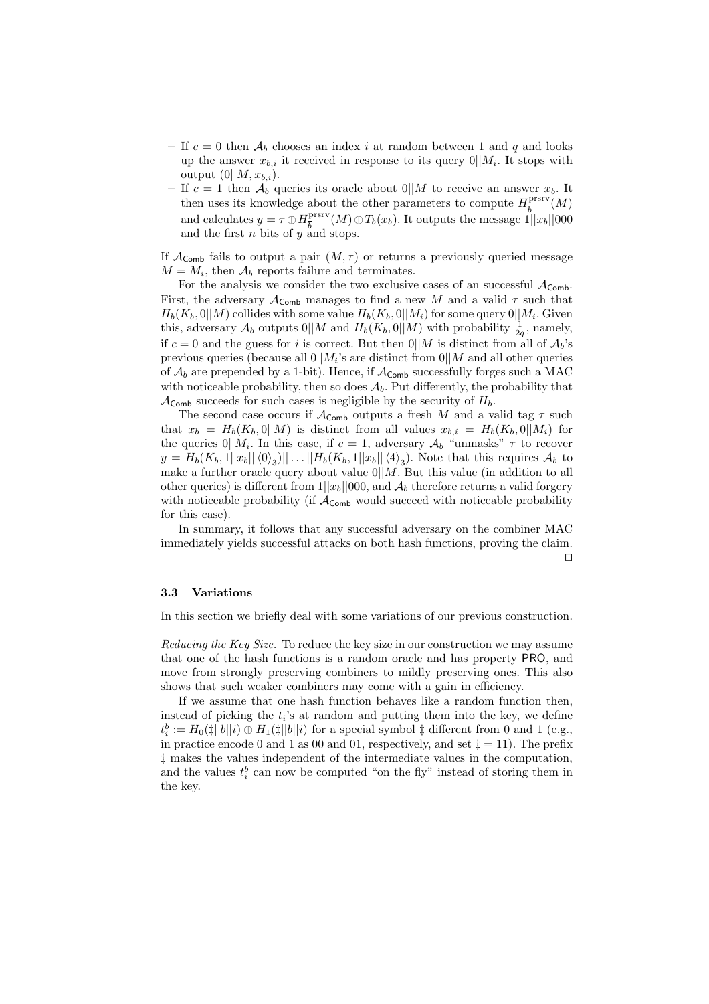- If  $c = 0$  then  $\mathcal{A}_b$  chooses an index i at random between 1 and q and looks up the answer  $x_{b,i}$  it received in response to its query  $0||M_i$ . It stops with output  $(0||M, x_{b,i}).$
- If  $c = 1$  then  $\mathcal{A}_b$  queries its oracle about  $0||M$  to receive an answer  $x_b$ . It then uses its knowledge about the other parameters to compute  $H_{\overline{k}}^{\text{prsv}}(M)$ and calculates  $y = \tau \oplus H_{\overline{k}}^{\text{prsv}}(M) \oplus T_b(x_b)$ . It outputs the message 1  $\frac{\text{prsrv}}{b}(M)\oplus T_b(x_b)$ . It outputs the message  $1||x_b||000$ and the first  $n$  bits of  $y$  and stops.

If  $\mathcal{A}_{\mathsf{Comb}}$  fails to output a pair  $(M, \tau)$  or returns a previously queried message  $M = M_i$ , then  $A_b$  reports failure and terminates.

For the analysis we consider the two exclusive cases of an successful  $A_{\mathsf{Comb}}$ . First, the adversary  $A_{\mathsf{Comb}}$  manages to find a new M and a valid  $\tau$  such that  $H_b(K_b, 0||M)$  collides with some value  $H_b(K_b, 0||M_i)$  for some query  $0||M_i$ . Given this, adversary  $\mathcal{A}_b$  outputs  $0||M$  and  $H_b(K_b, 0||M)$  with probability  $\frac{1}{2q}$ , namely, if  $c = 0$  and the guess for i is correct. But then  $0||M$  is distinct from all of  $\mathcal{A}_b$ 's previous queries (because all  $0||M_i$ 's are distinct from  $0||M$  and all other queries of  $\mathcal{A}_b$  are prepended by a 1-bit). Hence, if  $\mathcal{A}_{\mathsf{Comb}}$  successfully forges such a MAC with noticeable probability, then so does  $A_b$ . Put differently, the probability that  $\mathcal{A}_{\mathsf{Comb}}$  succeeds for such cases is negligible by the security of  $H_b$ .

The second case occurs if  $\mathcal{A}_{\mathsf{Comb}}$  outputs a fresh M and a valid tag  $\tau$  such that  $x_b = H_b(K_b, 0||M)$  is distinct from all values  $x_{b,i} = H_b(K_b, 0||M_i)$  for the queries  $0||M_i$ . In this case, if  $c=1$ , adversary  $\mathcal{A}_b$  "unmasks"  $\tau$  to recover  $y = H_b(K_b, 1||x_b||\langle 0 \rangle_3)|| \dots ||H_b(K_b, 1||x_b||\langle 4 \rangle_3)$ . Note that this requires  $\mathcal{A}_b$  to make a further oracle query about value  $0||M$ . But this value (in addition to all other queries) is different from  $1||x_b||000$ , and  $A_b$  therefore returns a valid forgery with noticeable probability (if  $A_{\text{Comb}}$  would succeed with noticeable probability for this case).

In summary, it follows that any successful adversary on the combiner MAC immediately yields successful attacks on both hash functions, proving the claim. ⊓⊔

#### 3.3 Variations

In this section we briefly deal with some variations of our previous construction.

Reducing the Key Size. To reduce the key size in our construction we may assume that one of the hash functions is a random oracle and has property PRO, and move from strongly preserving combiners to mildly preserving ones. This also shows that such weaker combiners may come with a gain in efficiency.

If we assume that one hash function behaves like a random function then, instead of picking the  $t_i$ 's at random and putting them into the key, we define  $t_i^b := H_0(\ddagger ||b||i) \oplus H_1(\ddagger ||b||i)$  for a special symbol  $\ddagger$  different from 0 and 1 (e.g., in practice encode 0 and 1 as 00 and 01, respectively, and set  $\ddagger = 11$ ). The prefix ‡ makes the values independent of the intermediate values in the computation, and the values  $t_i^b$  can now be computed "on the fly" instead of storing them in the key.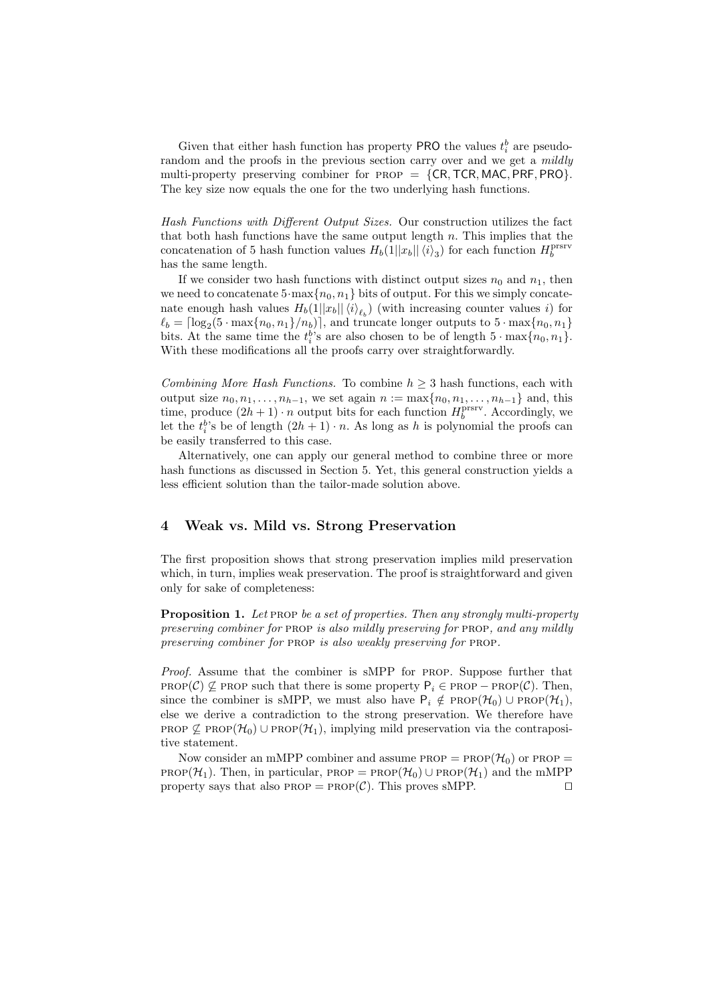Given that either hash function has property **PRO** the values  $t_i^b$  are pseudorandom and the proofs in the previous section carry over and we get a miliarly multi-property preserving combiner for PROP = {CR, TCR, MAC, PRF, PRO}. The key size now equals the one for the two underlying hash functions.

Hash Functions with Different Output Sizes. Our construction utilizes the fact that both hash functions have the same output length  $n$ . This implies that the concatenation of 5 hash function values  $H_b(1||x_b||\langle i \rangle_3)$  for each function  $H_b^{\text{prsv}}$ has the same length.

If we consider two hash functions with distinct output sizes  $n_0$  and  $n_1$ , then we need to concatenate  $5 \cdot \max\{n_0, n_1\}$  bits of output. For this we simply concatenate enough hash values  $H_b(1||x_b||\langle i \rangle_{\ell_b})$  (with increasing counter values *i*) for  $\ell_b = \lceil \log_2(5 \cdot \max\{n_0, n_1\}/n_b)\rceil$ , and truncate longer outputs to  $5 \cdot \max\{n_0, n_1\}$ bits. At the same time the  $t_i^b$ 's are also chosen to be of length  $5 \cdot \max\{n_0, n_1\}$ . With these modifications all the proofs carry over straightforwardly.

Combining More Hash Functions. To combine  $h \geq 3$  hash functions, each with output size  $n_0, n_1, \ldots, n_{h-1}$ , we set again  $n := \max\{n_0, n_1, \ldots, n_{h-1}\}\$  and, this time, produce  $(2h + 1) \cdot n$  output bits for each function  $H_b^{\text{prsv}}$ . Accordingly, we let the  $t_i^{b}$ 's be of length  $(2h + 1) \cdot n$ . As long as h is polynomial the proofs can be easily transferred to this case.

Alternatively, one can apply our general method to combine three or more hash functions as discussed in Section 5. Yet, this general construction yields a less efficient solution than the tailor-made solution above.

## 4 Weak vs. Mild vs. Strong Preservation

The first proposition shows that strong preservation implies mild preservation which, in turn, implies weak preservation. The proof is straightforward and given only for sake of completeness:

**Proposition 1.** Let PROP be a set of properties. Then any strongly multi-property preserving combiner for PROP is also mildly preserving for PROP, and any mildly preserving combiner for PROP is also weakly preserving for PROP.

Proof. Assume that the combiner is sMPP for prop. Suppose further that PROP(C)  $\not\subseteq$  PROP such that there is some property  $P_i \in \text{PROP} - \text{PROP}(\mathcal{C})$ . Then, since the combiner is sMPP, we must also have  $P_i \notin \text{PROP}(\mathcal{H}_0) \cup \text{PROP}(\mathcal{H}_1)$ , else we derive a contradiction to the strong preservation. We therefore have PROP  $\mathcal{I}$  PROP $(\mathcal{H}_0)$  ∪ PROP $(\mathcal{H}_1)$ , implying mild preservation via the contrapositive statement.

Now consider an mMPP combiner and assume  $PROP = PROP(\mathcal{H}_0)$  or  $PROP =$ PROP( $\mathcal{H}_1$ ). Then, in particular, PROP = PROP( $\mathcal{H}_0$ ) ∪ PROP( $\mathcal{H}_1$ ) and the mMPP property says that also  $PROP = PROP(\mathcal{C})$ . This proves sMPP. □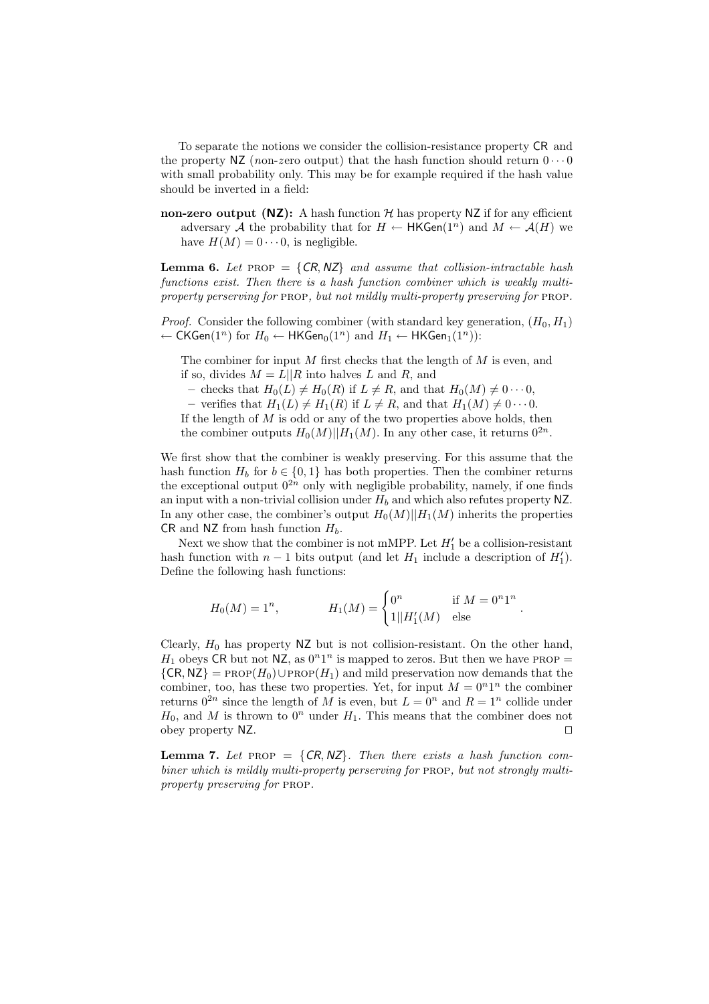To separate the notions we consider the collision-resistance property CR and the property NZ (non-zero output) that the hash function should return  $0 \cdots 0$ with small probability only. This may be for example required if the hash value should be inverted in a field:

non-zero output (NZ): A hash function  $H$  has property NZ if for any efficient adversary A the probability that for  $H \leftarrow \mathsf{HKGen}(1^n)$  and  $M \leftarrow \mathcal{A}(H)$  we have  $H(M) = 0 \cdots 0$ , is negligible.

**Lemma 6.** Let PROP =  $\{CR, NZ\}$  and assume that collision-intractable hash functions exist. Then there is a hash function combiner which is weakly multiproperty perserving for PROP, but not mildly multi-property preserving for PROP.

*Proof.* Consider the following combiner (with standard key generation,  $(H_0, H_1)$ ) ← CKGen(1<sup>n</sup>) for  $H_0$  ← HKGen<sub>0</sub>(1<sup>n</sup>) and  $H_1$  ← HKGen<sub>1</sub>(1<sup>n</sup>)):

The combiner for input M first checks that the length of  $M$  is even, and if so, divides  $M = L||R$  into halves L and R, and

– checks that  $H_0(L) \neq H_0(R)$  if  $L \neq R$ , and that  $H_0(M) \neq 0 \cdots 0$ ,

– verifies that  $H_1(L) \neq H_1(R)$  if  $L \neq R$ , and that  $H_1(M) \neq 0 \cdots 0$ .

If the length of  $M$  is odd or any of the two properties above holds, then

the combiner outputs  $H_0(M)||H_1(M)$ . In any other case, it returns  $0^{2n}$ .

We first show that the combiner is weakly preserving. For this assume that the hash function  $H_b$  for  $b \in \{0, 1\}$  has both properties. Then the combiner returns the exceptional output  $0^{2n}$  only with negligible probability, namely, if one finds an input with a non-trivial collision under  $H_b$  and which also refutes property NZ. In any other case, the combiner's output  $H_0(M)||H_1(M)$  inherits the properties CR and NZ from hash function  $H_b$ .

Next we show that the combiner is not mMPP. Let  $H'_1$  be a collision-resistant hash function with  $n-1$  bits output (and let  $H_1$  include a description of  $H'_1$ ). Define the following hash functions:

$$
H_0(M) = 1^n
$$
,  $H_1(M) = \begin{cases} 0^n & \text{if } M = 0^n 1^n \\ 1 || H'_1(M) & \text{else} \end{cases}$ 

.

Clearly,  $H_0$  has property NZ but is not collision-resistant. On the other hand,  $H_1$  obeys CR but not NZ, as  $0^n1^n$  is mapped to zeros. But then we have PROP =  ${CR, NZ} = **PROP**(H<sub>0</sub>) \cup **PROP**(H<sub>1</sub>)$  and mild preservation now demands that the combiner, too, has these two properties. Yet, for input  $M = 0^n 1^n$  the combiner returns  $0^{2n}$  since the length of M is even, but  $L = 0^n$  and  $R = 1^n$  collide under  $H_0$ , and M is thrown to  $0^n$  under  $H_1$ . This means that the combiner does not obey property NZ. ⊓⊔

**Lemma 7.** Let PROP =  $\{CR, NZ\}$ . Then there exists a hash function combiner which is mildly multi-property perserving for PROP, but not strongly multiproperty preserving for PROP.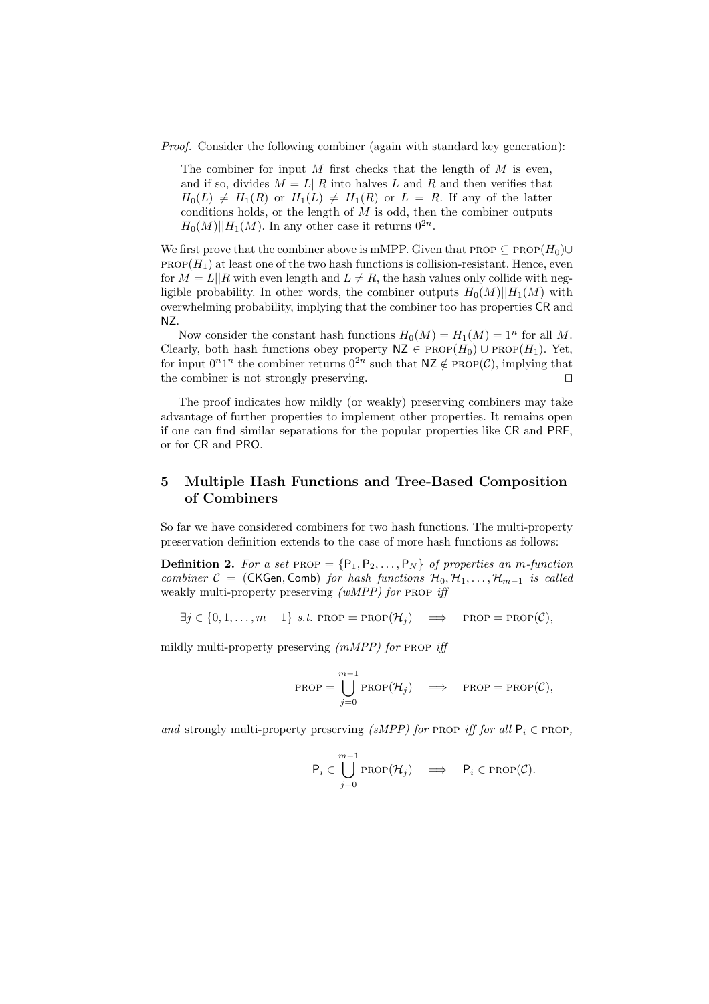Proof. Consider the following combiner (again with standard key generation):

The combiner for input  $M$  first checks that the length of  $M$  is even, and if so, divides  $M = L||R$  into halves L and R and then verifies that  $H_0(L) \neq H_1(R)$  or  $H_1(L) \neq H_1(R)$  or  $L = R$ . If any of the latter conditions holds, or the length of  $M$  is odd, then the combiner outputs  $H_0(M)||H_1(M)$ . In any other case it returns  $0^{2n}$ .

We first prove that the combiner above is mMPP. Given that PROP  $\subseteq$  PROP $(H_0) \cup$  $PROP(H_1)$  at least one of the two hash functions is collision-resistant. Hence, even for  $M = L||R$  with even length and  $L \neq R$ , the hash values only collide with negligible probability. In other words, the combiner outputs  $H_0(M)||H_1(M)$  with overwhelming probability, implying that the combiner too has properties CR and NZ.

Now consider the constant hash functions  $H_0(M) = H_1(M) = 1^n$  for all M. Clearly, both hash functions obey property  $NZ \in \text{PROP}(H_0) \cup \text{PROP}(H_1)$ . Yet, for input  $0^{n}1^{n}$  the combiner returns  $0^{2n}$  such that  $NZ \notin \text{PROP}(\mathcal{C})$ , implying that the combiner is not strongly preserving. ⊓⊔

The proof indicates how mildly (or weakly) preserving combiners may take advantage of further properties to implement other properties. It remains open if one can find similar separations for the popular properties like CR and PRF, or for CR and PRO.

## 5 Multiple Hash Functions and Tree-Based Composition of Combiners

So far we have considered combiners for two hash functions. The multi-property preservation definition extends to the case of more hash functions as follows:

**Definition 2.** For a set PROP =  $\{P_1, P_2, \ldots, P_N\}$  of properties an m-function combiner  $C = (CKGen, Comb)$  for hash functions  $H_0, H_1, \ldots, H_{m-1}$  is called weakly multi-property preserving  $(wMPP)$  for PROP iff

$$
\exists j \in \{0, 1, \dots, m-1\} \text{ s.t. } \text{PROP} = \text{PROP}(\mathcal{H}_j) \implies \text{PROP} = \text{PROP}(\mathcal{C}),
$$

mildly multi-property preserving  $(mMPP)$  for PROP iff

$$
PROP = \bigcup_{j=0}^{m-1} \text{PROP}(\mathcal{H}_j) \quad \Longrightarrow \quad \text{PROP} = \text{PROP}(\mathcal{C}),
$$

and strongly multi-property preserving (sMPP) for PROP iff for all  $P_i \in \text{PROP}$ ,

$$
\mathsf{P}_i \in \bigcup_{j=0}^{m-1} \text{PROP}(\mathcal{H}_j) \quad \Longrightarrow \quad \mathsf{P}_i \in \text{PROP}(\mathcal{C}).
$$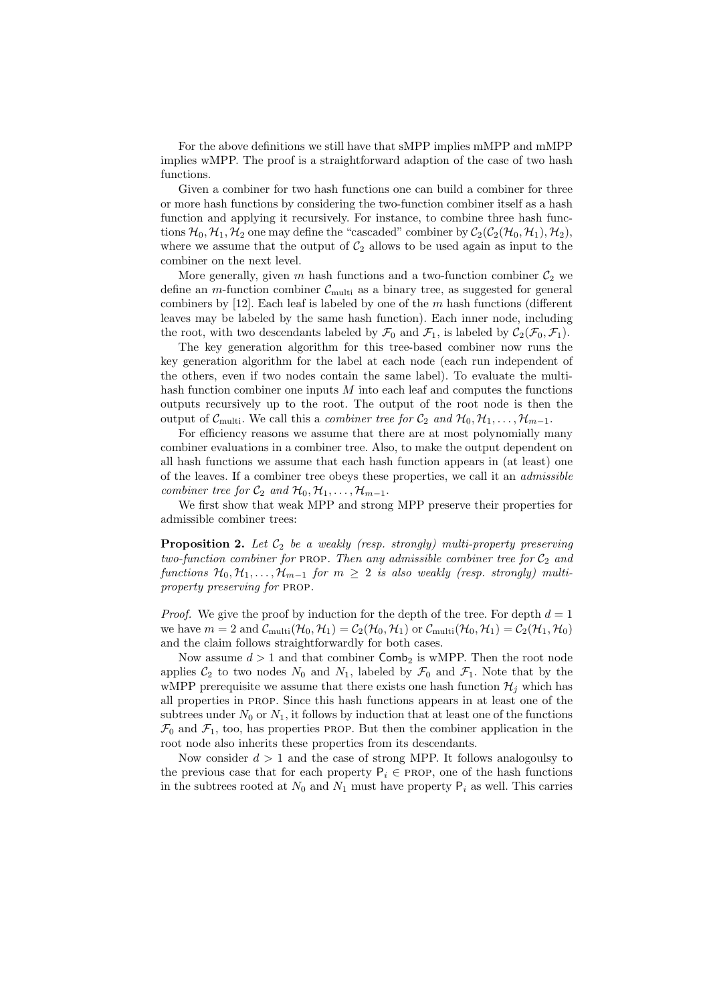For the above definitions we still have that sMPP implies mMPP and mMPP implies wMPP. The proof is a straightforward adaption of the case of two hash functions.

Given a combiner for two hash functions one can build a combiner for three or more hash functions by considering the two-function combiner itself as a hash function and applying it recursively. For instance, to combine three hash functions  $\mathcal{H}_0$ ,  $\mathcal{H}_1$ ,  $\mathcal{H}_2$  one may define the "cascaded" combiner by  $\mathcal{C}_2(\mathcal{C}_2(\mathcal{H}_0, \mathcal{H}_1), \mathcal{H}_2)$ , where we assume that the output of  $C_2$  allows to be used again as input to the combiner on the next level.

More generally, given m hash functions and a two-function combiner  $C_2$  we define an *m*-function combiner  $\mathcal{C}_{\text{multi}}$  as a binary tree, as suggested for general combiners by  $[12]$ . Each leaf is labeled by one of the m hash functions (different leaves may be labeled by the same hash function). Each inner node, including the root, with two descendants labeled by  $\mathcal{F}_0$  and  $\mathcal{F}_1$ , is labeled by  $\mathcal{C}_2(\mathcal{F}_0, \mathcal{F}_1)$ .

The key generation algorithm for this tree-based combiner now runs the key generation algorithm for the label at each node (each run independent of the others, even if two nodes contain the same label). To evaluate the multihash function combiner one inputs  $M$  into each leaf and computes the functions outputs recursively up to the root. The output of the root node is then the output of  $\mathcal{C}_{\text{multi}}$ . We call this a *combiner tree for*  $\mathcal{C}_2$  and  $\mathcal{H}_0, \mathcal{H}_1, \ldots, \mathcal{H}_{m-1}$ .

For efficiency reasons we assume that there are at most polynomially many combiner evaluations in a combiner tree. Also, to make the output dependent on all hash functions we assume that each hash function appears in (at least) one of the leaves. If a combiner tree obeys these properties, we call it an admissible combiner tree for  $C_2$  and  $\mathcal{H}_0, \mathcal{H}_1, \ldots, \mathcal{H}_{m-1}$ .

We first show that weak MPP and strong MPP preserve their properties for admissible combiner trees:

**Proposition 2.** Let  $C_2$  be a weakly (resp. strongly) multi-property preserving two-function combiner for PROP. Then any admissible combiner tree for  $C_2$  and functions  $\mathcal{H}_0, \mathcal{H}_1, \ldots, \mathcal{H}_{m-1}$  for  $m \geq 2$  is also weakly (resp. strongly) multiproperty preserving for PROP.

*Proof.* We give the proof by induction for the depth of the tree. For depth  $d = 1$ we have  $m = 2$  and  $\mathcal{C}_{\text{multi}}(\mathcal{H}_0, \mathcal{H}_1) = \mathcal{C}_2(\mathcal{H}_0, \mathcal{H}_1)$  or  $\mathcal{C}_{\text{multi}}(\mathcal{H}_0, \mathcal{H}_1) = \mathcal{C}_2(\mathcal{H}_1, \mathcal{H}_0)$ and the claim follows straightforwardly for both cases.

Now assume  $d > 1$  and that combiner  $Comb_2$  is wMPP. Then the root node applies  $C_2$  to two nodes  $N_0$  and  $N_1$ , labeled by  $\mathcal{F}_0$  and  $\mathcal{F}_1$ . Note that by the wMPP prerequisite we assume that there exists one hash function  $\mathcal{H}_i$  which has all properties in prop. Since this hash functions appears in at least one of the subtrees under  $N_0$  or  $N_1$ , it follows by induction that at least one of the functions  $\mathcal{F}_0$  and  $\mathcal{F}_1$ , too, has properties PROP. But then the combiner application in the root node also inherits these properties from its descendants.

Now consider  $d > 1$  and the case of strong MPP. It follows analogoulsy to the previous case that for each property  $P_i \in \text{PROP}$ , one of the hash functions in the subtrees rooted at  $N_0$  and  $N_1$  must have property  $P_i$  as well. This carries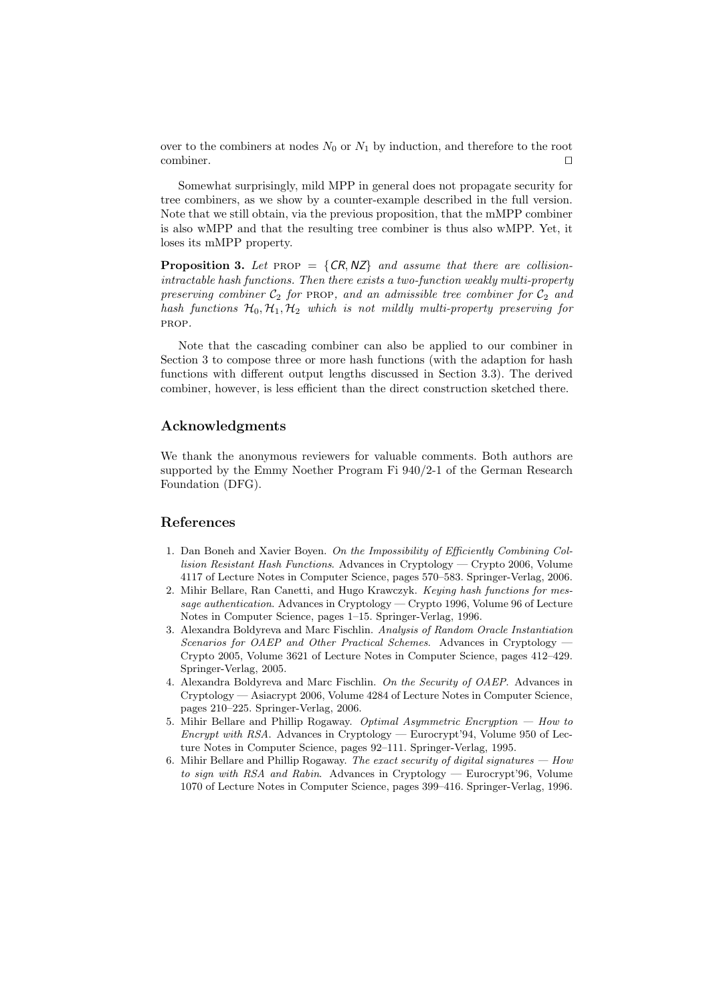over to the combiners at nodes  $N_0$  or  $N_1$  by induction, and therefore to the root combiner. ⊓⊔

Somewhat surprisingly, mild MPP in general does not propagate security for tree combiners, as we show by a counter-example described in the full version. Note that we still obtain, via the previous proposition, that the mMPP combiner is also wMPP and that the resulting tree combiner is thus also wMPP. Yet, it loses its mMPP property.

**Proposition 3.** Let PROP =  $\{CR, NZ\}$  and assume that there are collisionintractable hash functions. Then there exists a two-function weakly multi-property preserving combiner  $C_2$  for PROP, and an admissible tree combiner for  $C_2$  and hash functions  $\mathcal{H}_0$ ,  $\mathcal{H}_1$ ,  $\mathcal{H}_2$  which is not mildly multi-property preserving for prop.

Note that the cascading combiner can also be applied to our combiner in Section 3 to compose three or more hash functions (with the adaption for hash functions with different output lengths discussed in Section 3.3). The derived combiner, however, is less efficient than the direct construction sketched there.

## Acknowledgments

We thank the anonymous reviewers for valuable comments. Both authors are supported by the Emmy Noether Program Fi 940/2-1 of the German Research Foundation (DFG).

## References

- 1. Dan Boneh and Xavier Boyen. On the Impossibility of Efficiently Combining Collision Resistant Hash Functions. Advances in Cryptology — Crypto 2006, Volume 4117 of Lecture Notes in Computer Science, pages 570–583. Springer-Verlag, 2006.
- 2. Mihir Bellare, Ran Canetti, and Hugo Krawczyk. Keying hash functions for message authentication. Advances in Cryptology — Crypto 1996, Volume 96 of Lecture Notes in Computer Science, pages 1–15. Springer-Verlag, 1996.
- 3. Alexandra Boldyreva and Marc Fischlin. Analysis of Random Oracle Instantiation Scenarios for OAEP and Other Practical Schemes. Advances in Cryptology Crypto 2005, Volume 3621 of Lecture Notes in Computer Science, pages 412–429. Springer-Verlag, 2005.
- 4. Alexandra Boldyreva and Marc Fischlin. On the Security of OAEP. Advances in Cryptology — Asiacrypt 2006, Volume 4284 of Lecture Notes in Computer Science, pages 210–225. Springer-Verlag, 2006.
- 5. Mihir Bellare and Phillip Rogaway. Optimal Asymmetric Encryption How to Encrypt with RSA. Advances in Cryptology — Eurocrypt'94, Volume 950 of Lecture Notes in Computer Science, pages 92–111. Springer-Verlag, 1995.
- 6. Mihir Bellare and Phillip Rogaway. The exact security of digital signatures  $-$  How to sign with RSA and Rabin. Advances in Cryptology — Eurocrypt'96, Volume 1070 of Lecture Notes in Computer Science, pages 399–416. Springer-Verlag, 1996.